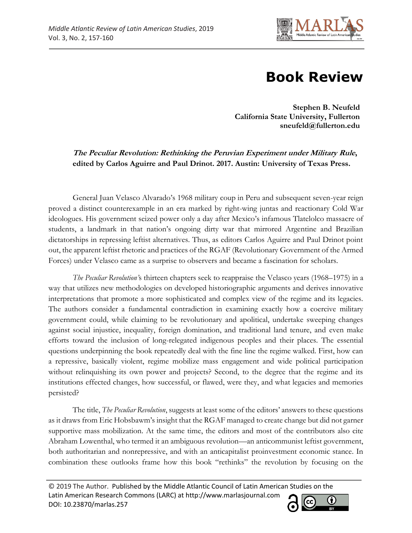

## **Book Review**

**Stephen B. Neufeld California State University, Fullerton sneufeld@fullerton.edu** 

**The Peculiar Revolution: Rethinking the Peruvian Experiment under Military Rule, edited by Carlos Aguirre and Paul Drinot. 2017. Austin: University of Texas Press.**

General Juan Velasco Alvarado's 1968 military coup in Peru and subsequent seven-year reign proved a distinct counterexample in an era marked by right-wing juntas and reactionary Cold War ideologues. His government seized power only a day after Mexico's infamous Tlatelolco massacre of students, a landmark in that nation's ongoing dirty war that mirrored Argentine and Brazilian dictatorships in repressing leftist alternatives. Thus, as editors Carlos Aguirre and Paul Drinot point out, the apparent leftist rhetoric and practices of the RGAF (Revolutionary Government of the Armed Forces) under Velasco came as a surprise to observers and became a fascination for scholars.

*The Peculiar Revolution'*s thirteen chapters seek to reappraise the Velasco years (1968–1975) in a way that utilizes new methodologies on developed historiographic arguments and derives innovative interpretations that promote a more sophisticated and complex view of the regime and its legacies. The authors consider a fundamental contradiction in examining exactly how a coercive military government could, while claiming to be revolutionary and apolitical, undertake sweeping changes against social injustice, inequality, foreign domination, and traditional land tenure, and even make efforts toward the inclusion of long-relegated indigenous peoples and their places. The essential questions underpinning the book repeatedly deal with the fine line the regime walked. First, how can a repressive, basically violent, regime mobilize mass engagement and wide political participation without relinquishing its own power and projects? Second, to the degree that the regime and its institutions effected changes, how successful, or flawed, were they, and what legacies and memories persisted?

The title, *The Peculiar Revolution*, suggests at least some of the editors' answers to these questions as it draws from Eric Hobsbawm's insight that the RGAF managed to create change but did not garner supportive mass mobilization. At the same time, the editors and most of the contributors also cite Abraham Lowenthal, who termed it an ambiguous revolution—an anticommunist leftist government, both authoritarian and nonrepressive, and with an anticapitalist proinvestment economic stance. In combination these outlooks frame how this book "rethinks" the revolution by focusing on the

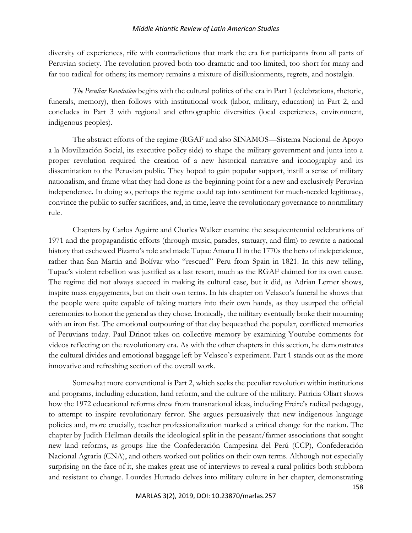## *Middle Atlantic Review of Latin American Studies*

diversity of experiences, rife with contradictions that mark the era for participants from all parts of Peruvian society. The revolution proved both too dramatic and too limited, too short for many and far too radical for others; its memory remains a mixture of disillusionments, regrets, and nostalgia.

*The Peculiar Revolution* begins with the cultural politics of the era in Part 1 (celebrations, rhetoric, funerals, memory), then follows with institutional work (labor, military, education) in Part 2, and concludes in Part 3 with regional and ethnographic diversities (local experiences, environment, indigenous peoples).

The abstract efforts of the regime (RGAF and also SINAMOS—Sistema Nacional de Apoyo a la Movilización Social, its executive policy side) to shape the military government and junta into a proper revolution required the creation of a new historical narrative and iconography and its dissemination to the Peruvian public. They hoped to gain popular support, instill a sense of military nationalism, and frame what they had done as the beginning point for a new and exclusively Peruvian independence. In doing so, perhaps the regime could tap into sentiment for much-needed legitimacy, convince the public to suffer sacrifices, and, in time, leave the revolutionary governance to nonmilitary rule.

Chapters by Carlos Aguirre and Charles Walker examine the sesquicentennial celebrations of 1971 and the propagandistic efforts (through music, parades, statuary, and film) to rewrite a national history that eschewed Pizarro's role and made Tupac Amaru II in the 1770s the hero of independence, rather than San Martín and Bolívar who "rescued" Peru from Spain in 1821. In this new telling, Tupac's violent rebellion was justified as a last resort, much as the RGAF claimed for its own cause. The regime did not always succeed in making its cultural case, but it did, as Adrian Lerner shows, inspire mass engagements, but on their own terms. In his chapter on Velasco's funeral he shows that the people were quite capable of taking matters into their own hands, as they usurped the official ceremonies to honor the general as they chose. Ironically, the military eventually broke their mourning with an iron fist. The emotional outpouring of that day bequeathed the popular, conflicted memories of Peruvians today. Paul Drinot takes on collective memory by examining Youtube comments for videos reflecting on the revolutionary era. As with the other chapters in this section, he demonstrates the cultural divides and emotional baggage left by Velasco's experiment. Part 1 stands out as the more innovative and refreshing section of the overall work.

Somewhat more conventional is Part 2, which seeks the peculiar revolution within institutions and programs, including education, land reform, and the culture of the military. Patricia Oliart shows how the 1972 educational reforms drew from transnational ideas, including Freire's radical pedagogy, to attempt to inspire revolutionary fervor. She argues persuasively that new indigenous language policies and, more crucially, teacher professionalization marked a critical change for the nation. The chapter by Judith Heilman details the ideological split in the peasant/farmer associations that sought new land reforms, as groups like the Confederación Campesina del Perú (CCP), Confederación Nacional Agraria (CNA), and others worked out politics on their own terms. Although not especially surprising on the face of it, she makes great use of interviews to reveal a rural politics both stubborn and resistant to change. Lourdes Hurtado delves into military culture in her chapter, demonstrating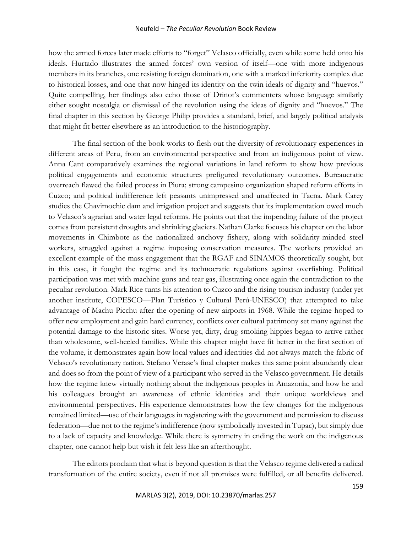## Neufeld – *The Peculiar Revolution* Book Review

how the armed forces later made efforts to "forget" Velasco officially, even while some held onto his ideals. Hurtado illustrates the armed forces' own version of itself—one with more indigenous members in its branches, one resisting foreign domination, one with a marked inferiority complex due to historical losses, and one that now hinged its identity on the twin ideals of dignity and "huevos." Quite compelling, her findings also echo those of Drinot's commenters whose language similarly either sought nostalgia or dismissal of the revolution using the ideas of dignity and "huevos." The final chapter in this section by George Philip provides a standard, brief, and largely political analysis that might fit better elsewhere as an introduction to the historiography.

The final section of the book works to flesh out the diversity of revolutionary experiences in different areas of Peru, from an environmental perspective and from an indigenous point of view. Anna Cant comparatively examines the regional variations in land reform to show how previous political engagements and economic structures prefigured revolutionary outcomes. Bureaucratic overreach flawed the failed process in Piura; strong campesino organization shaped reform efforts in Cuzco; and political indifference left peasants unimpressed and unaffected in Tacna. Mark Carey studies the Chavimochic dam and irrigation project and suggests that its implementation owed much to Velasco's agrarian and water legal reforms. He points out that the impending failure of the project comes from persistent droughts and shrinking glaciers. Nathan Clarke focuses his chapter on the labor movements in Chimbote as the nationalized anchovy fishery, along with solidarity-minded steel workers, struggled against a regime imposing conservation measures. The workers provided an excellent example of the mass engagement that the RGAF and SINAMOS theoretically sought, but in this case, it fought the regime and its technocratic regulations against overfishing. Political participation was met with machine guns and tear gas, illustrating once again the contradiction to the peculiar revolution. Mark Rice turns his attention to Cuzco and the rising tourism industry (under yet another institute, COPESCO—Plan Turístico y Cultural Perú-UNESCO) that attempted to take advantage of Machu Picchu after the opening of new airports in 1968. While the regime hoped to offer new employment and gain hard currency, conflicts over cultural patrimony set many against the potential damage to the historic sites. Worse yet, dirty, drug-smoking hippies began to arrive rather than wholesome, well-heeled families. While this chapter might have fit better in the first section of the volume, it demonstrates again how local values and identities did not always match the fabric of Velasco's revolutionary nation. Stefano Verase's final chapter makes this same point abundantly clear and does so from the point of view of a participant who served in the Velasco government. He details how the regime knew virtually nothing about the indigenous peoples in Amazonia, and how he and his colleagues brought an awareness of ethnic identities and their unique worldviews and environmental perspectives. His experience demonstrates how the few changes for the indigenous remained limited—use of their languages in registering with the government and permission to discuss federation—due not to the regime's indifference (now symbolically invested in Tupac), but simply due to a lack of capacity and knowledge. While there is symmetry in ending the work on the indigenous chapter, one cannot help but wish it felt less like an afterthought.

The editors proclaim that what is beyond question is that the Velasco regime delivered a radical transformation of the entire society, even if not all promises were fulfilled, or all benefits delivered.